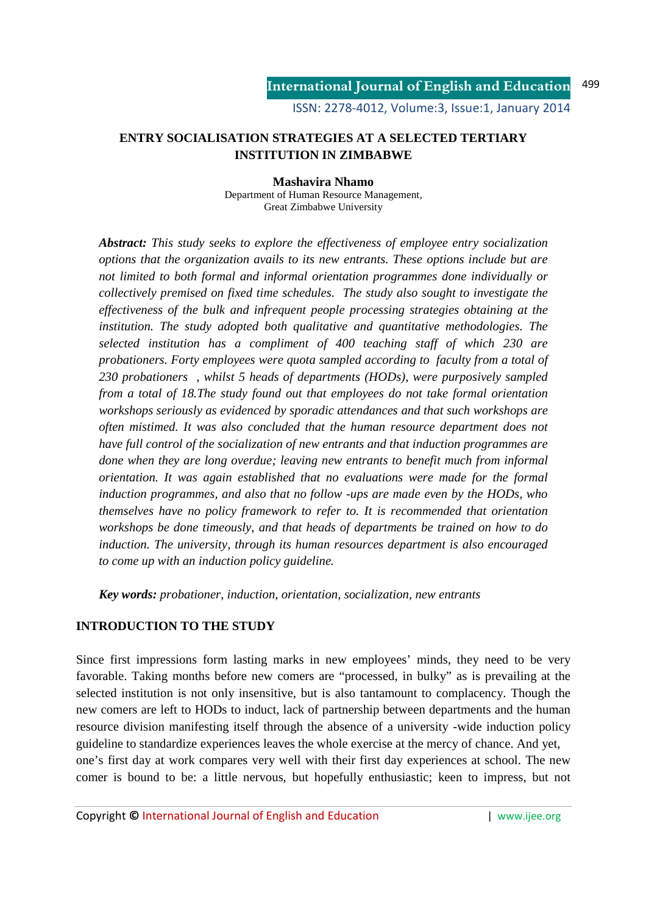# **ENTRY SOCIALISATION STRATEGIES AT A SELECTED TERTIARY INSTITUTION IN ZIMBABWE**

**Mashavira Nhamo**  Department of Human Resource Management, Great Zimbabwe University

*Abstract: This study seeks to explore the effectiveness of employee entry socialization options that the organization avails to its new entrants. These options include but are not limited to both formal and informal orientation programmes done individually or collectively premised on fixed time schedules. The study also sought to investigate the effectiveness of the bulk and infrequent people processing strategies obtaining at the institution. The study adopted both qualitative and quantitative methodologies. The selected institution has a compliment of 400 teaching staff of which 230 are probationers. Forty employees were quota sampled according to faculty from a total of 230 probationers , whilst 5 heads of departments (HODs), were purposively sampled from a total of 18.The study found out that employees do not take formal orientation workshops seriously as evidenced by sporadic attendances and that such workshops are often mistimed. It was also concluded that the human resource department does not have full control of the socialization of new entrants and that induction programmes are done when they are long overdue; leaving new entrants to benefit much from informal orientation. It was again established that no evaluations were made for the formal induction programmes, and also that no follow -ups are made even by the HODs, who themselves have no policy framework to refer to. It is recommended that orientation workshops be done timeously, and that heads of departments be trained on how to do induction. The university, through its human resources department is also encouraged to come up with an induction policy guideline.* 

*Key words: probationer, induction, orientation, socialization, new entrants* 

# **INTRODUCTION TO THE STUDY**

Since first impressions form lasting marks in new employees' minds, they need to be very favorable. Taking months before new comers are "processed, in bulky" as is prevailing at the selected institution is not only insensitive, but is also tantamount to complacency. Though the new comers are left to HODs to induct, lack of partnership between departments and the human resource division manifesting itself through the absence of a university -wide induction policy guideline to standardize experiences leaves the whole exercise at the mercy of chance. And yet, one's first day at work compares very well with their first day experiences at school. The new comer is bound to be: a little nervous, but hopefully enthusiastic; keen to impress, but not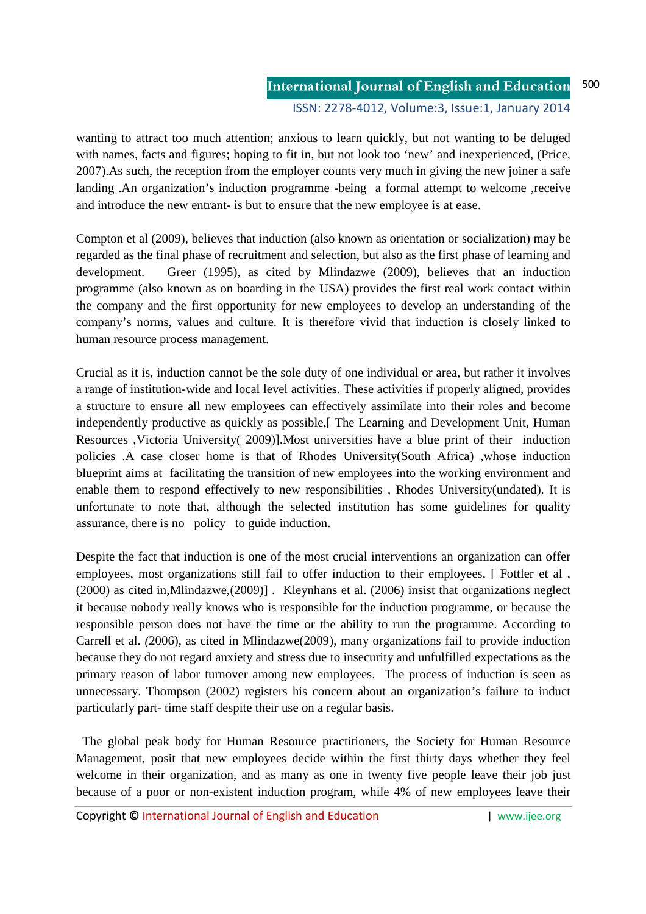wanting to attract too much attention; anxious to learn quickly, but not wanting to be deluged with names, facts and figures; hoping to fit in, but not look too 'new' and inexperienced, (Price, 2007).As such, the reception from the employer counts very much in giving the new joiner a safe landing .An organization's induction programme -being a formal attempt to welcome ,receive and introduce the new entrant- is but to ensure that the new employee is at ease.

Compton et al (2009), believes that induction (also known as orientation or socialization) may be regarded as the final phase of recruitment and selection, but also as the first phase of learning and development. Greer (1995), as cited by Mlindazwe (2009), believes that an induction programme (also known as on boarding in the USA) provides the first real work contact within the company and the first opportunity for new employees to develop an understanding of the company's norms, values and culture. It is therefore vivid that induction is closely linked to human resource process management.

Crucial as it is, induction cannot be the sole duty of one individual or area, but rather it involves a range of institution-wide and local level activities. These activities if properly aligned, provides a structure to ensure all new employees can effectively assimilate into their roles and become independently productive as quickly as possible, The Learning and Development Unit, Human Resources ,Victoria University( 2009)].Most universities have a blue print of their induction policies .A case closer home is that of Rhodes University(South Africa) ,whose induction blueprint aims at facilitating the transition of new employees into the working environment and enable them to respond effectively to new responsibilities , Rhodes University(undated). It is unfortunate to note that, although the selected institution has some guidelines for quality assurance, there is no policy to guide induction.

Despite the fact that induction is one of the most crucial interventions an organization can offer employees, most organizations still fail to offer induction to their employees, [ Fottler et al , (2000) as cited in,Mlindazwe,(2009)] . Kleynhans et al. (2006) insist that organizations neglect it because nobody really knows who is responsible for the induction programme, or because the responsible person does not have the time or the ability to run the programme. According to Carrell et al. *(*2006), as cited in Mlindazwe(2009), many organizations fail to provide induction because they do not regard anxiety and stress due to insecurity and unfulfilled expectations as the primary reason of labor turnover among new employees. The process of induction is seen as unnecessary. Thompson (2002) registers his concern about an organization's failure to induct particularly part- time staff despite their use on a regular basis.

 The global peak body for Human Resource practitioners, the Society for Human Resource Management, posit that new employees decide within the first thirty days whether they feel welcome in their organization, and as many as one in twenty five people leave their job just because of a poor or non-existent induction program, while 4% of new employees leave their

Copyright **©** International Journal of English and Education | www.ijee.org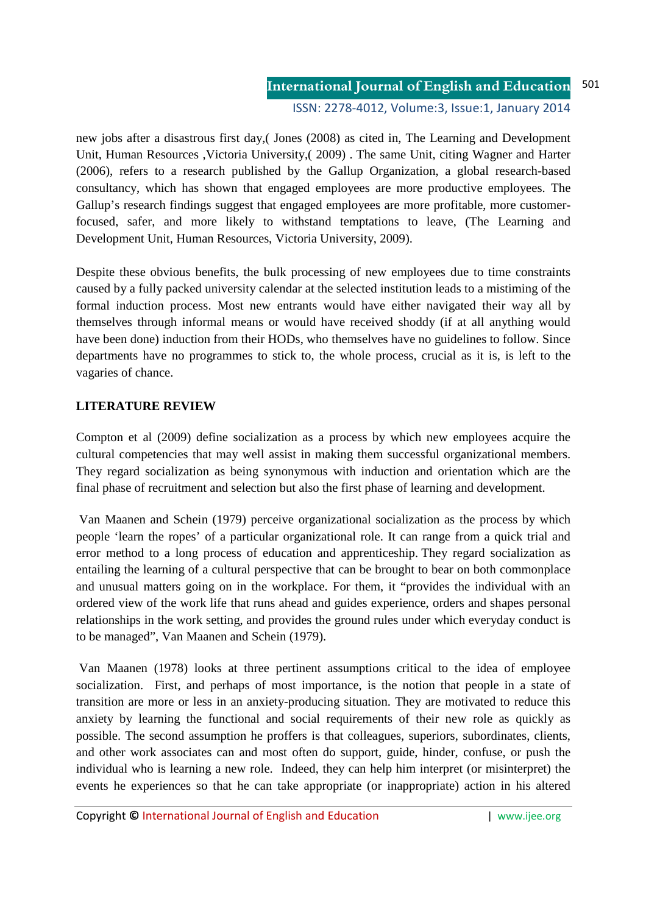#### **International Journal of English and Education** 501

ISSN: 2278-4012, Volume:3, Issue:1, January 2014

new jobs after a disastrous first day,( Jones (2008) as cited in, The Learning and Development Unit, Human Resources ,Victoria University,( 2009) . The same Unit, citing Wagner and Harter (2006), refers to a research published by the Gallup Organization, a global research-based consultancy, which has shown that engaged employees are more productive employees. The Gallup's research findings suggest that engaged employees are more profitable, more customerfocused, safer, and more likely to withstand temptations to leave, (The Learning and Development Unit, Human Resources, Victoria University, 2009).

Despite these obvious benefits, the bulk processing of new employees due to time constraints caused by a fully packed university calendar at the selected institution leads to a mistiming of the formal induction process. Most new entrants would have either navigated their way all by themselves through informal means or would have received shoddy (if at all anything would have been done) induction from their HODs, who themselves have no guidelines to follow. Since departments have no programmes to stick to, the whole process, crucial as it is, is left to the vagaries of chance.

### **LITERATURE REVIEW**

Compton et al (2009) define socialization as a process by which new employees acquire the cultural competencies that may well assist in making them successful organizational members. They regard socialization as being synonymous with induction and orientation which are the final phase of recruitment and selection but also the first phase of learning and development.

 Van Maanen and Schein (1979) perceive organizational socialization as the process by which people 'learn the ropes' of a particular organizational role. It can range from a quick trial and error method to a long process of education and apprenticeship. They regard socialization as entailing the learning of a cultural perspective that can be brought to bear on both commonplace and unusual matters going on in the workplace. For them, it "provides the individual with an ordered view of the work life that runs ahead and guides experience, orders and shapes personal relationships in the work setting, and provides the ground rules under which everyday conduct is to be managed", Van Maanen and Schein (1979).

 Van Maanen (1978) looks at three pertinent assumptions critical to the idea of employee socialization. First, and perhaps of most importance, is the notion that people in a state of transition are more or less in an anxiety-producing situation. They are motivated to reduce this anxiety by learning the functional and social requirements of their new role as quickly as possible. The second assumption he proffers is that colleagues, superiors, subordinates, clients, and other work associates can and most often do support, guide, hinder, confuse, or push the individual who is learning a new role. Indeed, they can help him interpret (or misinterpret) the events he experiences so that he can take appropriate (or inappropriate) action in his altered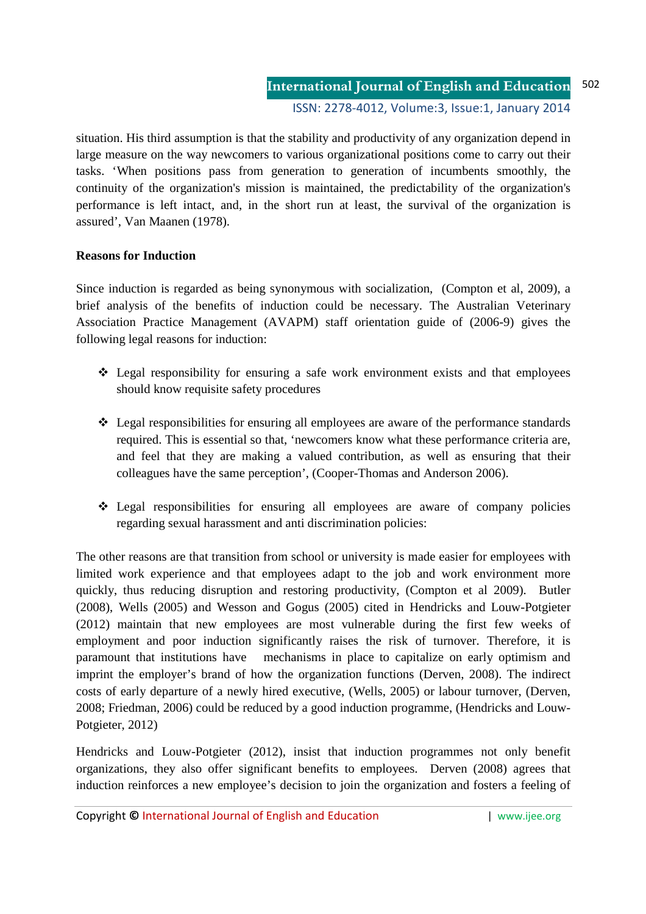situation. His third assumption is that the stability and productivity of any organization depend in large measure on the way newcomers to various organizational positions come to carry out their tasks. 'When positions pass from generation to generation of incumbents smoothly, the continuity of the organization's mission is maintained, the predictability of the organization's performance is left intact, and, in the short run at least, the survival of the organization is assured', Van Maanen (1978).

# **Reasons for Induction**

Since induction is regarded as being synonymous with socialization, (Compton et al, 2009), a brief analysis of the benefits of induction could be necessary. The Australian Veterinary Association Practice Management (AVAPM) staff orientation guide of (2006-9) gives the following legal reasons for induction:

- Legal responsibility for ensuring a safe work environment exists and that employees should know requisite safety procedures
- Legal responsibilities for ensuring all employees are aware of the performance standards required. This is essential so that, 'newcomers know what these performance criteria are, and feel that they are making a valued contribution, as well as ensuring that their colleagues have the same perception', (Cooper-Thomas and Anderson 2006).
- Legal responsibilities for ensuring all employees are aware of company policies regarding sexual harassment and anti discrimination policies:

The other reasons are that transition from school or university is made easier for employees with limited work experience and that employees adapt to the job and work environment more quickly, thus reducing disruption and restoring productivity, (Compton et al 2009). Butler (2008), Wells (2005) and Wesson and Gogus (2005) cited in Hendricks and Louw-Potgieter (2012) maintain that new employees are most vulnerable during the first few weeks of employment and poor induction significantly raises the risk of turnover. Therefore, it is paramount that institutions have mechanisms in place to capitalize on early optimism and imprint the employer's brand of how the organization functions (Derven, 2008). The indirect costs of early departure of a newly hired executive, (Wells, 2005) or labour turnover, (Derven, 2008; Friedman, 2006) could be reduced by a good induction programme, (Hendricks and Louw-Potgieter, 2012)

Hendricks and Louw-Potgieter (2012), insist that induction programmes not only benefit organizations, they also offer significant benefits to employees. Derven (2008) agrees that induction reinforces a new employee's decision to join the organization and fosters a feeling of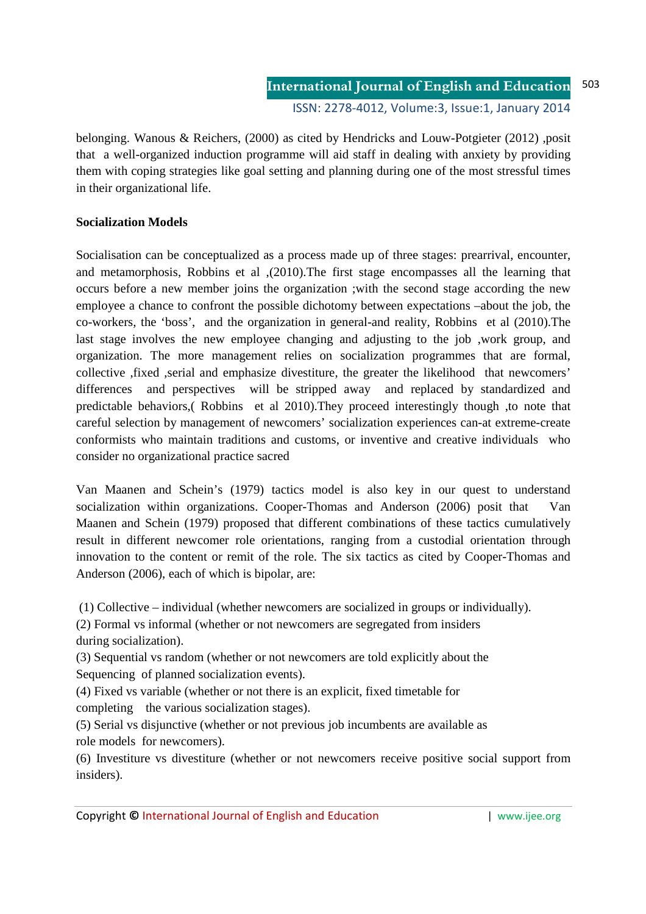belonging. Wanous & Reichers, (2000) as cited by Hendricks and Louw-Potgieter (2012) ,posit that a well-organized induction programme will aid staff in dealing with anxiety by providing them with coping strategies like goal setting and planning during one of the most stressful times in their organizational life.

# **Socialization Models**

Socialisation can be conceptualized as a process made up of three stages: prearrival, encounter, and metamorphosis, Robbins et al ,(2010).The first stage encompasses all the learning that occurs before a new member joins the organization ;with the second stage according the new employee a chance to confront the possible dichotomy between expectations –about the job, the co-workers, the 'boss', and the organization in general-and reality, Robbins et al (2010).The last stage involves the new employee changing and adjusting to the job ,work group, and organization. The more management relies on socialization programmes that are formal, collective ,fixed ,serial and emphasize divestiture, the greater the likelihood that newcomers' differences and perspectives will be stripped away and replaced by standardized and predictable behaviors,( Robbins et al 2010).They proceed interestingly though ,to note that careful selection by management of newcomers' socialization experiences can-at extreme-create conformists who maintain traditions and customs, or inventive and creative individuals who consider no organizational practice sacred

Van Maanen and Schein's (1979) tactics model is also key in our quest to understand socialization within organizations. Cooper-Thomas and Anderson (2006) posit that Van Maanen and Schein (1979) proposed that different combinations of these tactics cumulatively result in different newcomer role orientations, ranging from a custodial orientation through innovation to the content or remit of the role. The six tactics as cited by Cooper-Thomas and Anderson (2006), each of which is bipolar, are:

(1) Collective – individual (whether newcomers are socialized in groups or individually).

(2) Formal vs informal (whether or not newcomers are segregated from insiders during socialization).

(3) Sequential vs random (whether or not newcomers are told explicitly about the Sequencing of planned socialization events).

(4) Fixed vs variable (whether or not there is an explicit, fixed timetable for

completing the various socialization stages).

(5) Serial vs disjunctive (whether or not previous job incumbents are available as role models for newcomers).

(6) Investiture vs divestiture (whether or not newcomers receive positive social support from insiders).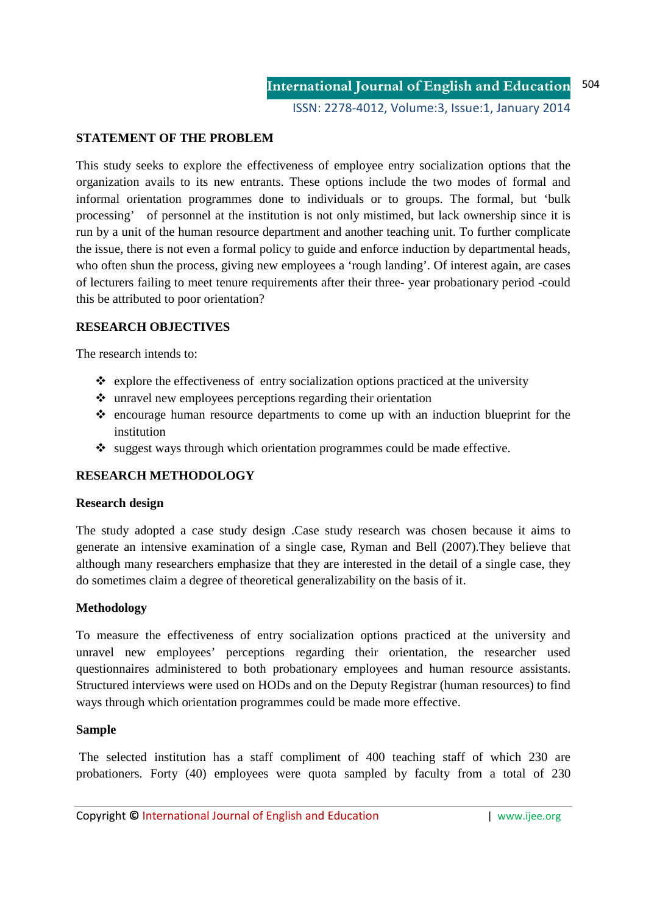# **STATEMENT OF THE PROBLEM**

This study seeks to explore the effectiveness of employee entry socialization options that the organization avails to its new entrants. These options include the two modes of formal and informal orientation programmes done to individuals or to groups. The formal, but 'bulk processing' of personnel at the institution is not only mistimed, but lack ownership since it is run by a unit of the human resource department and another teaching unit. To further complicate the issue, there is not even a formal policy to guide and enforce induction by departmental heads, who often shun the process, giving new employees a 'rough landing'. Of interest again, are cases of lecturers failing to meet tenure requirements after their three- year probationary period -could this be attributed to poor orientation?

### **RESEARCH OBJECTIVES**

The research intends to:

- $\triangleleft$  explore the effectiveness of entry socialization options practiced at the university
- $\cdot$  unravel new employees perceptions regarding their orientation
- $\triangle$  encourage human resource departments to come up with an induction blueprint for the institution
- $\cdot$  suggest ways through which orientation programmes could be made effective.

# **RESEARCH METHODOLOGY**

### **Research design**

The study adopted a case study design .Case study research was chosen because it aims to generate an intensive examination of a single case, Ryman and Bell (2007).They believe that although many researchers emphasize that they are interested in the detail of a single case, they do sometimes claim a degree of theoretical generalizability on the basis of it.

### **Methodology**

To measure the effectiveness of entry socialization options practiced at the university and unravel new employees' perceptions regarding their orientation, the researcher used questionnaires administered to both probationary employees and human resource assistants. Structured interviews were used on HODs and on the Deputy Registrar (human resources) to find ways through which orientation programmes could be made more effective.

### **Sample**

 The selected institution has a staff compliment of 400 teaching staff of which 230 are probationers. Forty (40) employees were quota sampled by faculty from a total of 230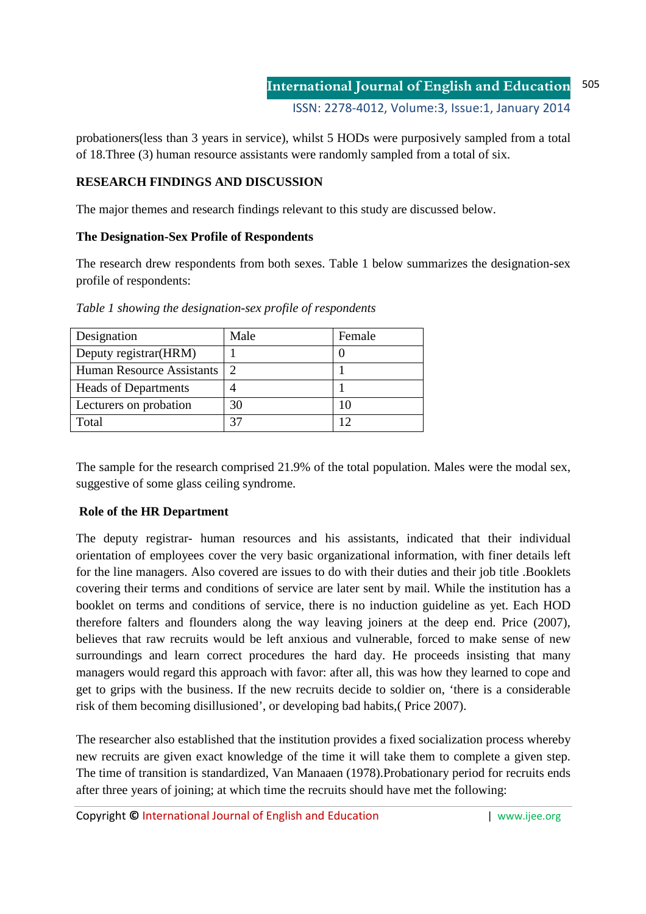probationers(less than 3 years in service), whilst 5 HODs were purposively sampled from a total of 18.Three (3) human resource assistants were randomly sampled from a total of six.

# **RESEARCH FINDINGS AND DISCUSSION**

The major themes and research findings relevant to this study are discussed below.

# **The Designation-Sex Profile of Respondents**

The research drew respondents from both sexes. Table 1 below summarizes the designation-sex profile of respondents:

| Designation                 | Male          | Female |
|-----------------------------|---------------|--------|
| Deputy registrar (HRM)      |               |        |
| Human Resource Assistants   | $\mathcal{D}$ |        |
| <b>Heads of Departments</b> |               |        |
| Lecturers on probation      | 30            | 10     |
| Total                       |               |        |

*Table 1 showing the designation-sex profile of respondents* 

The sample for the research comprised 21.9% of the total population. Males were the modal sex, suggestive of some glass ceiling syndrome.

# **Role of the HR Department**

The deputy registrar- human resources and his assistants, indicated that their individual orientation of employees cover the very basic organizational information, with finer details left for the line managers. Also covered are issues to do with their duties and their job title .Booklets covering their terms and conditions of service are later sent by mail. While the institution has a booklet on terms and conditions of service, there is no induction guideline as yet. Each HOD therefore falters and flounders along the way leaving joiners at the deep end. Price (2007), believes that raw recruits would be left anxious and vulnerable, forced to make sense of new surroundings and learn correct procedures the hard day. He proceeds insisting that many managers would regard this approach with favor: after all, this was how they learned to cope and get to grips with the business. If the new recruits decide to soldier on, 'there is a considerable risk of them becoming disillusioned', or developing bad habits,( Price 2007).

The researcher also established that the institution provides a fixed socialization process whereby new recruits are given exact knowledge of the time it will take them to complete a given step. The time of transition is standardized, Van Manaaen (1978).Probationary period for recruits ends after three years of joining; at which time the recruits should have met the following: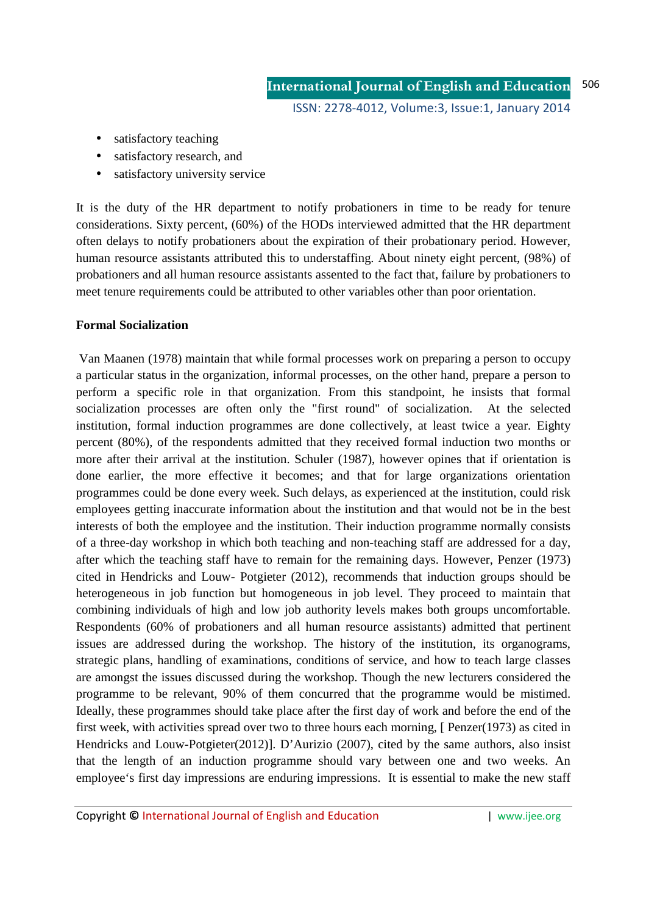- satisfactory teaching
- satisfactory research, and
- satisfactory university service

It is the duty of the HR department to notify probationers in time to be ready for tenure considerations. Sixty percent, (60%) of the HODs interviewed admitted that the HR department often delays to notify probationers about the expiration of their probationary period. However, human resource assistants attributed this to understaffing. About ninety eight percent, (98%) of probationers and all human resource assistants assented to the fact that, failure by probationers to meet tenure requirements could be attributed to other variables other than poor orientation.

### **Formal Socialization**

 Van Maanen (1978) maintain that while formal processes work on preparing a person to occupy a particular status in the organization, informal processes, on the other hand, prepare a person to perform a specific role in that organization. From this standpoint, he insists that formal socialization processes are often only the "first round" of socialization. At the selected institution, formal induction programmes are done collectively, at least twice a year. Eighty percent (80%), of the respondents admitted that they received formal induction two months or more after their arrival at the institution. Schuler (1987), however opines that if orientation is done earlier, the more effective it becomes; and that for large organizations orientation programmes could be done every week. Such delays, as experienced at the institution, could risk employees getting inaccurate information about the institution and that would not be in the best interests of both the employee and the institution. Their induction programme normally consists of a three-day workshop in which both teaching and non-teaching staff are addressed for a day, after which the teaching staff have to remain for the remaining days. However, Penzer (1973) cited in Hendricks and Louw- Potgieter (2012), recommends that induction groups should be heterogeneous in job function but homogeneous in job level. They proceed to maintain that combining individuals of high and low job authority levels makes both groups uncomfortable. Respondents (60% of probationers and all human resource assistants) admitted that pertinent issues are addressed during the workshop. The history of the institution, its organograms, strategic plans, handling of examinations, conditions of service, and how to teach large classes are amongst the issues discussed during the workshop. Though the new lecturers considered the programme to be relevant, 90% of them concurred that the programme would be mistimed. Ideally, these programmes should take place after the first day of work and before the end of the first week, with activities spread over two to three hours each morning, [ Penzer(1973) as cited in Hendricks and Louw-Potgieter(2012)]. D'Aurizio (2007), cited by the same authors, also insist that the length of an induction programme should vary between one and two weeks. An employee's first day impressions are enduring impressions. It is essential to make the new staff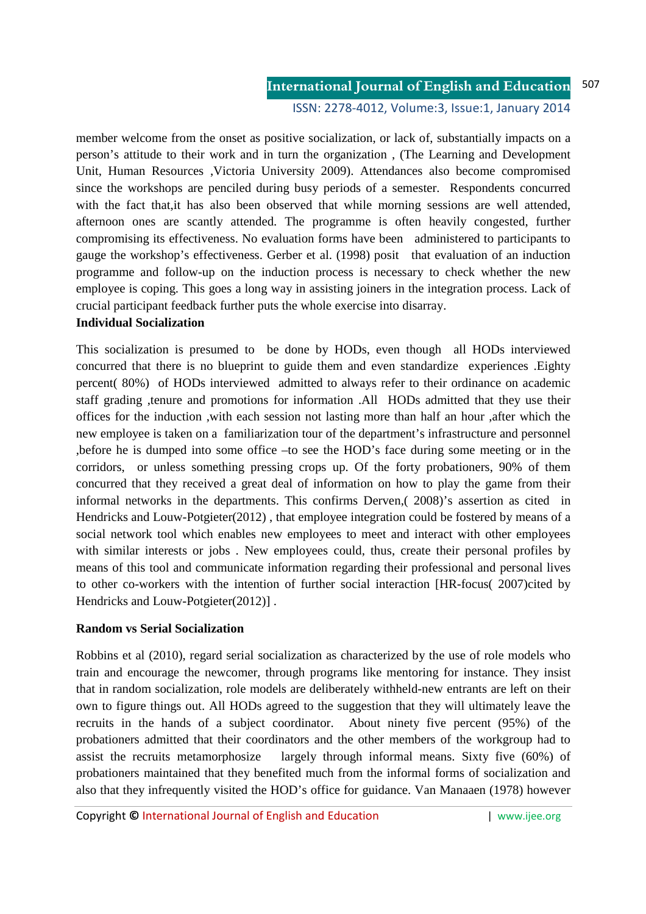member welcome from the onset as positive socialization, or lack of, substantially impacts on a person's attitude to their work and in turn the organization , (The Learning and Development Unit, Human Resources ,Victoria University 2009). Attendances also become compromised since the workshops are penciled during busy periods of a semester. Respondents concurred with the fact that,it has also been observed that while morning sessions are well attended, afternoon ones are scantly attended. The programme is often heavily congested, further compromising its effectiveness. No evaluation forms have been administered to participants to gauge the workshop's effectiveness. Gerber et al. (1998) posit that evaluation of an induction programme and follow-up on the induction process is necessary to check whether the new employee is coping. This goes a long way in assisting joiners in the integration process. Lack of crucial participant feedback further puts the whole exercise into disarray.

### **Individual Socialization**

This socialization is presumed to be done by HODs, even though all HODs interviewed concurred that there is no blueprint to guide them and even standardize experiences .Eighty percent( 80%) of HODs interviewed admitted to always refer to their ordinance on academic staff grading ,tenure and promotions for information .All HODs admitted that they use their offices for the induction ,with each session not lasting more than half an hour ,after which the new employee is taken on a familiarization tour of the department's infrastructure and personnel ,before he is dumped into some office –to see the HOD's face during some meeting or in the corridors, or unless something pressing crops up. Of the forty probationers, 90% of them concurred that they received a great deal of information on how to play the game from their informal networks in the departments. This confirms Derven,( 2008)'s assertion as cited in Hendricks and Louw-Potgieter(2012) , that employee integration could be fostered by means of a social network tool which enables new employees to meet and interact with other employees with similar interests or jobs . New employees could, thus, create their personal profiles by means of this tool and communicate information regarding their professional and personal lives to other co-workers with the intention of further social interaction [HR-focus( 2007)cited by Hendricks and Louw-Potgieter(2012)] .

### **Random vs Serial Socialization**

Robbins et al (2010), regard serial socialization as characterized by the use of role models who train and encourage the newcomer, through programs like mentoring for instance. They insist that in random socialization, role models are deliberately withheld-new entrants are left on their own to figure things out. All HODs agreed to the suggestion that they will ultimately leave the recruits in the hands of a subject coordinator. About ninety five percent (95%) of the probationers admitted that their coordinators and the other members of the workgroup had to assist the recruits metamorphosize largely through informal means. Sixty five (60%) of probationers maintained that they benefited much from the informal forms of socialization and also that they infrequently visited the HOD's office for guidance. Van Manaaen (1978) however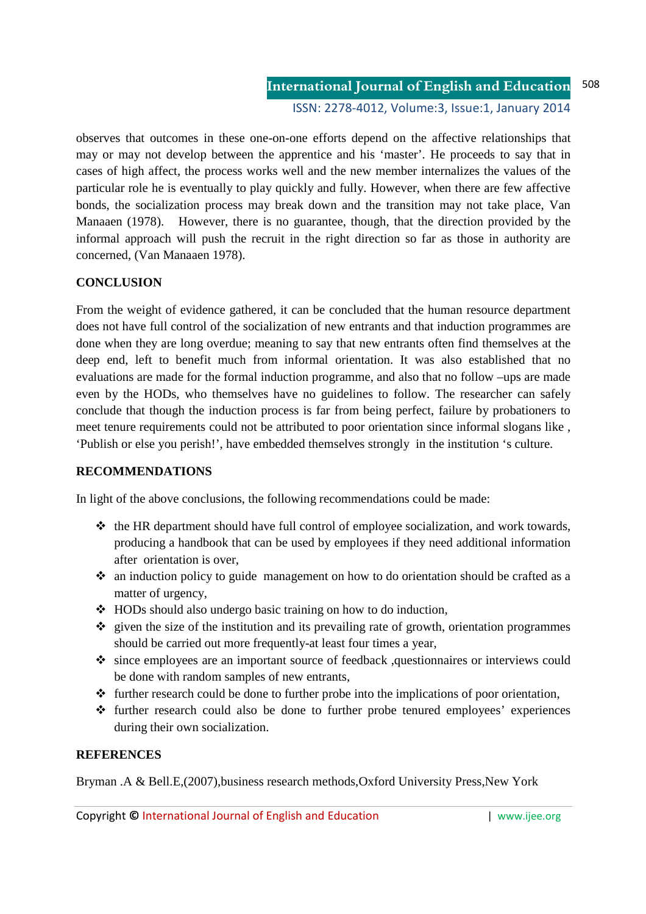observes that outcomes in these one-on-one efforts depend on the affective relationships that may or may not develop between the apprentice and his 'master'. He proceeds to say that in cases of high affect, the process works well and the new member internalizes the values of the particular role he is eventually to play quickly and fully. However, when there are few affective bonds, the socialization process may break down and the transition may not take place, Van Manaaen (1978). However, there is no guarantee, though, that the direction provided by the informal approach will push the recruit in the right direction so far as those in authority are concerned, (Van Manaaen 1978).

# **CONCLUSION**

From the weight of evidence gathered, it can be concluded that the human resource department does not have full control of the socialization of new entrants and that induction programmes are done when they are long overdue; meaning to say that new entrants often find themselves at the deep end, left to benefit much from informal orientation. It was also established that no evaluations are made for the formal induction programme, and also that no follow –ups are made even by the HODs, who themselves have no guidelines to follow. The researcher can safely conclude that though the induction process is far from being perfect, failure by probationers to meet tenure requirements could not be attributed to poor orientation since informal slogans like , 'Publish or else you perish!', have embedded themselves strongly in the institution 's culture.

### **RECOMMENDATIONS**

In light of the above conclusions, the following recommendations could be made:

- $\cdot \cdot$  the HR department should have full control of employee socialization, and work towards, producing a handbook that can be used by employees if they need additional information after orientation is over,
- $\cdot$  an induction policy to guide management on how to do orientation should be crafted as a matter of urgency,
- HODs should also undergo basic training on how to do induction,
- $\triangle$  given the size of the institution and its prevailing rate of growth, orientation programmes should be carried out more frequently-at least four times a year,
- since employees are an important source of feedback ,questionnaires or interviews could be done with random samples of new entrants,
- $\triangleleft$  further research could be done to further probe into the implications of poor orientation,
- further research could also be done to further probe tenured employees' experiences during their own socialization.

### **REFERENCES**

Bryman .A & Bell.E,(2007),business research methods,Oxford University Press,New York